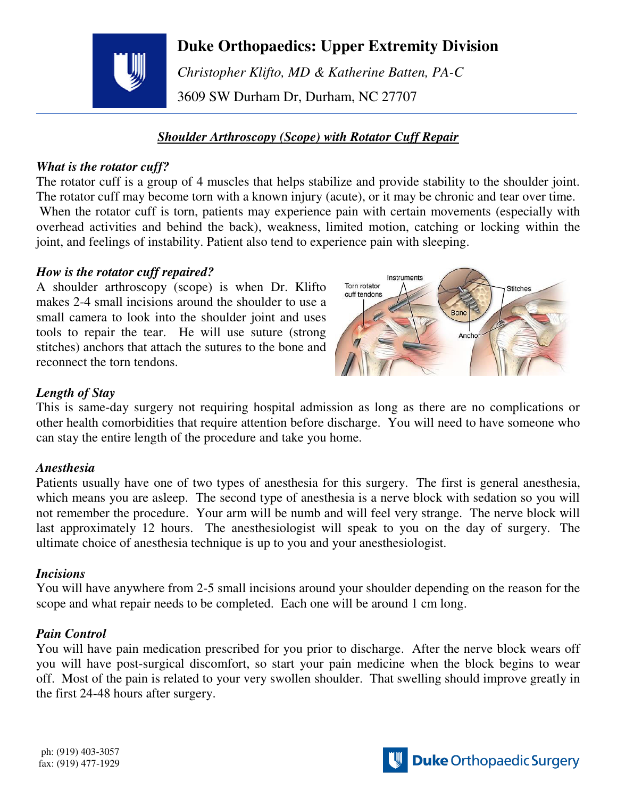

# **Duke Orthopaedics: Upper Extremity Division**

 *Christopher Klifto, MD & Katherine Batten, PA-C*  3609 SW Durham Dr, Durham, NC 27707

# *Shoulder Arthroscopy (Scope) with Rotator Cuff Repair*

## *What is the rotator cuff?*

The rotator cuff is a group of 4 muscles that helps stabilize and provide stability to the shoulder joint. The rotator cuff may become torn with a known injury (acute), or it may be chronic and tear over time. When the rotator cuff is torn, patients may experience pain with certain movements (especially with overhead activities and behind the back), weakness, limited motion, catching or locking within the joint, and feelings of instability. Patient also tend to experience pain with sleeping.

## *How is the rotator cuff repaired?*

A shoulder arthroscopy (scope) is when Dr. Klifto makes 2-4 small incisions around the shoulder to use a small camera to look into the shoulder joint and uses tools to repair the tear. He will use suture (strong stitches) anchors that attach the sutures to the bone and reconnect the torn tendons.



# *Length of Stay*

This is same-day surgery not requiring hospital admission as long as there are no complications or other health comorbidities that require attention before discharge. You will need to have someone who can stay the entire length of the procedure and take you home.

### *Anesthesia*

Patients usually have one of two types of anesthesia for this surgery. The first is general anesthesia, which means you are asleep. The second type of anesthesia is a nerve block with sedation so you will not remember the procedure. Your arm will be numb and will feel very strange. The nerve block will last approximately 12 hours. The anesthesiologist will speak to you on the day of surgery. The ultimate choice of anesthesia technique is up to you and your anesthesiologist.

### *Incisions*

You will have anywhere from 2-5 small incisions around your shoulder depending on the reason for the scope and what repair needs to be completed. Each one will be around 1 cm long.

# *Pain Control*

You will have pain medication prescribed for you prior to discharge. After the nerve block wears off you will have post-surgical discomfort, so start your pain medicine when the block begins to wear off. Most of the pain is related to your very swollen shoulder. That swelling should improve greatly in the first 24-48 hours after surgery.

ph: (919) 403-3057 fax: (919) 477-1929